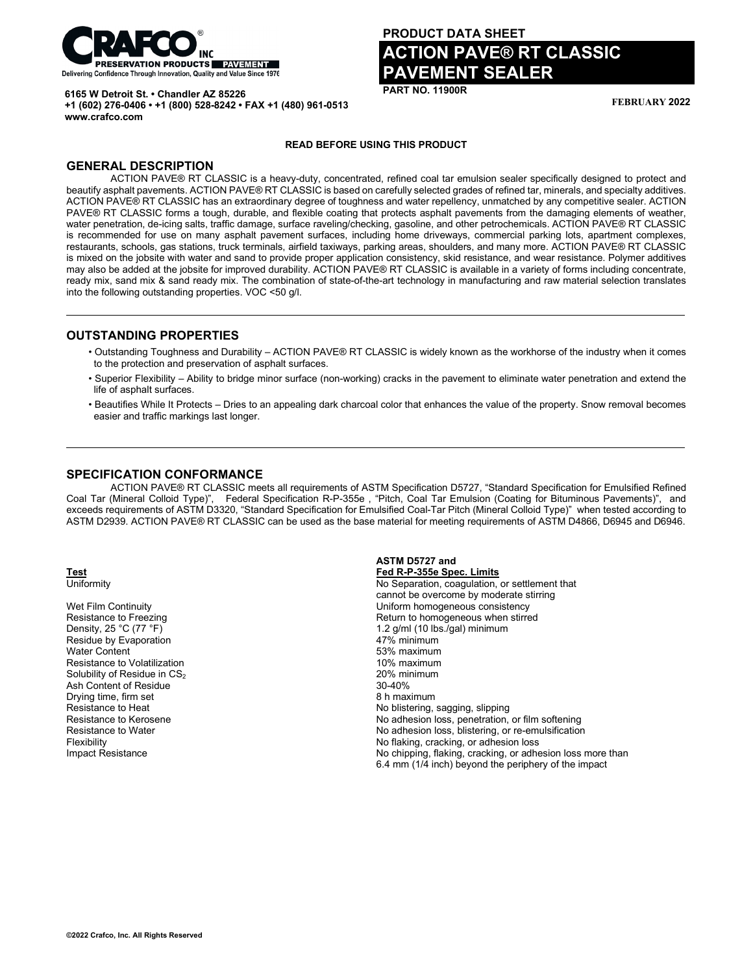

**+1 (602) 276-0406 • +1 (800) 528-8242 • FAX +1 (480) 961-0513**

**6165 W Detroit St. • Chandler AZ 85226**

# **PRODUCT DATA SHEET ACTION PAVE® RT CLASSIC PAVEMENT SEALER**

**PART NO. 11900R**

**FEBRUARY 2022**

#### **READ BEFORE USING THIS PRODUCT**

### **GENERAL DESCRIPTION**

**www.crafco.com**

ACTION PAVE® RT CLASSIC is a heavy-duty, concentrated, refined coal tar emulsion sealer specifically designed to protect and beautify asphalt pavements. ACTION PAVE® RT CLASSIC is based on carefully selected grades of refined tar, minerals, and specialty additives. ACTION PAVE® RT CLASSIC has an extraordinary degree of toughness and water repellency, unmatched by any competitive sealer. ACTION PAVE® RT CLASSIC forms a tough, durable, and flexible coating that protects asphalt pavements from the damaging elements of weather, water penetration, de-icing salts, traffic damage, surface raveling/checking, gasoline, and other petrochemicals. ACTION PAVE® RT CLASSIC is recommended for use on many asphalt pavement surfaces, including home driveways, commercial parking lots, apartment complexes, restaurants, schools, gas stations, truck terminals, airfield taxiways, parking areas, shoulders, and many more. ACTION PAVE® RT CLASSIC is mixed on the jobsite with water and sand to provide proper application consistency, skid resistance, and wear resistance. Polymer additives may also be added at the jobsite for improved durability. ACTION PAVE® RT CLASSIC is available in a variety of forms including concentrate, ready mix, sand mix & sand ready mix. The combination of state-of-the-art technology in manufacturing and raw material selection translates into the following outstanding properties. VOC <50 g/l.

#### **OUTSTANDING PROPERTIES**

- Outstanding Toughness and Durability ACTION PAVE® RT CLASSIC is widely known as the workhorse of the industry when it comes to the protection and preservation of asphalt surfaces.
- Superior Flexibility Ability to bridge minor surface (non-working) cracks in the pavement to eliminate water penetration and extend the life of asphalt surfaces.
- Beautifies While It Protects Dries to an appealing dark charcoal color that enhances the value of the property. Snow removal becomes easier and traffic markings last longer.

#### **SPECIFICATION CONFORMANCE**

ACTION PAVE® RT CLASSIC meets all requirements of ASTM Specification D5727, "Standard Specification for Emulsified Refined Coal Tar (Mineral Colloid Type)", Federal Specification R-P-355e , "Pitch, Coal Tar Emulsion (Coating for Bituminous Pavements)", and exceeds requirements of ASTM D3320, "Standard Specification for Emulsified Coal-Tar Pitch (Mineral Colloid Type)" when tested according to ASTM D2939. ACTION PAVE® RT CLASSIC can be used as the base material for meeting requirements of ASTM D4866, D6945 and D6946.

Residue by Evaporation<br>Water Content Resistance to Volatilization Solubility of Residue in  $CS_2$ <br>Ash Content of Residue<br>Ash Content of Residue Ash Content of Residue Drying time, firm set and the set of the set of the set of the South American Society of the South American Society<br>Resistance to Heat and the Society of the Society of the Society of the Society of the Society of the Soci

**ASTM D5727 and Test Fed R-P-355e Spec. Limits** No Separation, coagulation, or settlement that cannot be overcome by moderate stirring Wet Film Continuity<br>
Resistance to Freezing<br>
Resistance to Freezing<br>
Neturn to homogeneous when stirre Resistance to Freezing Theorem 2012 Control Return to homogeneous when stirred<br>Density, 25 °C (77 °F) 2 (77 °F) 2 (77 °F) 2 (78 °C (77 °F) 2 (78 °C (77 °F) 2 (78 °C (77 °F) 2 (78 °C (77 °F) 1.2 g/ml (10 lbs./gal) minimum<br>47% minimum 53% maximum<br>10% maximum No blistering, sagging, slipping Resistance to Kerosene **No adhesion loss, penetration, or film softening**<br>Resistance to Water **No adhesion loss, blistering, or re-emulsification**<br>No adhesion loss, blistering, or re-emulsification Resistance to Water **No adhesion loss, blistering, or re-emulsification**<br>
Rexibility<br>
No flaking, cracking, or adhesion loss No flaking, cracking, or adhesion loss Impact Resistance **No chipping, flaking, cracking, or adhesion loss more than** 6.4 mm (1/4 inch) beyond the periphery of the impact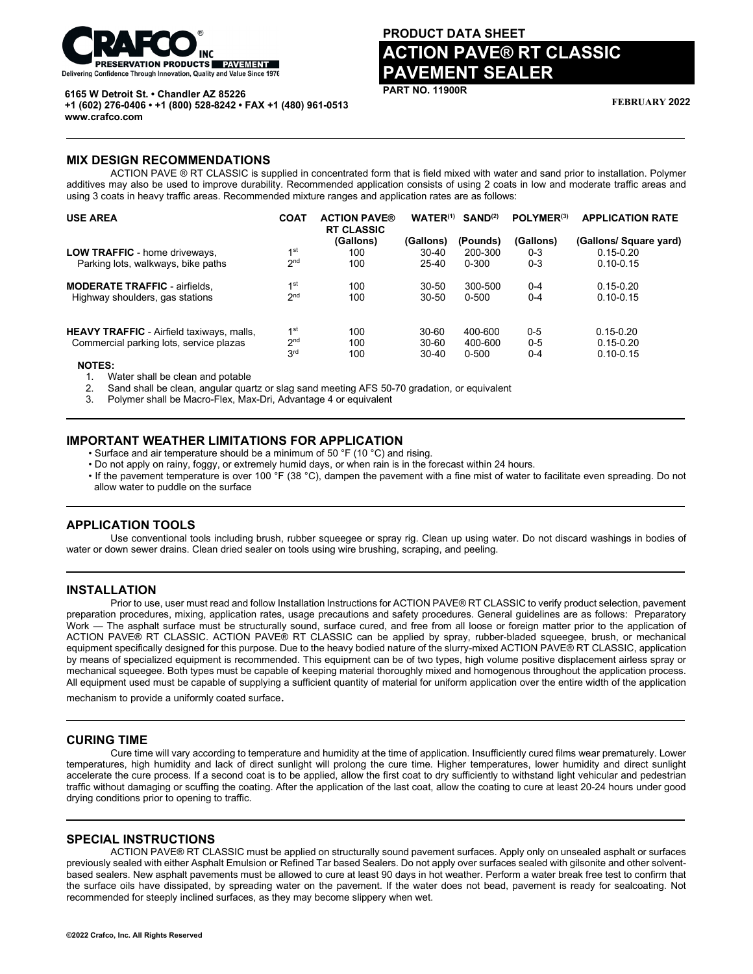

# **PRODUCT DATA SHEET ACTION PAVE® RT CLASSIC PAVEMENT SEALER**

**PART NO. 11900R**

**FEBRUARY 2022**

**6165 W Detroit St. • Chandler AZ 85226 +1 (602) 276-0406 • +1 (800) 528-8242 • FAX +1 (480) 961-0513 www.crafco.com**

#### **MIX DESIGN RECOMMENDATIONS**

ACTION PAVE ® RT CLASSIC is supplied in concentrated form that is field mixed with water and sand prior to installation. Polymer additives may also be used to improve durability. Recommended application consists of using 2 coats in low and moderate traffic areas and using 3 coats in heavy traffic areas. Recommended mixture ranges and application rates are as follows:

| <b>USE AREA</b>                                  | <b>COAT</b>     | <b>ACTION PAVE®</b><br><b>RT CLASSIC</b> | $WATER^{(1)}$ | SAND <sup>(2)</sup> | POLYMER <sup>(3)</sup> | <b>APPLICATION RATE</b> |
|--------------------------------------------------|-----------------|------------------------------------------|---------------|---------------------|------------------------|-------------------------|
|                                                  |                 | (Gallons)                                | (Gallons)     | (Pounds)            | (Gallons)              | (Gallons/ Square yard)  |
| LOW TRAFFIC - home driveways,                    | 1 <sup>st</sup> | 100                                      | $30 - 40$     | 200-300             | $0 - 3$                | $0.15 - 0.20$           |
| Parking lots, walkways, bike paths               | 2 <sub>nd</sub> | 100                                      | $25 - 40$     | 0-300               | $0 - 3$                | $0.10 - 0.15$           |
| <b>MODERATE TRAFFIC - airfields,</b>             | 1 <sup>st</sup> | 100                                      | 30-50         | 300-500             | $0 - 4$                | $0.15 - 0.20$           |
| Highway shoulders, gas stations                  | 2 <sub>nd</sub> | 100                                      | $30 - 50$     | 0-500               | $0 - 4$                | $0.10 - 0.15$           |
| <b>HEAVY TRAFFIC</b> - Airfield taxiways, malls, | 1 <sup>st</sup> | 100                                      | $30 - 60$     | 400-600             | $0 - 5$                | $0.15 - 0.20$           |
| Commercial parking lots, service plazas          | 2 <sup>nd</sup> | 100                                      | $30 - 60$     | 400-600             | $0 - 5$                | $0.15 - 0.20$           |
| NOTES.                                           | 3 <sup>rd</sup> | 100                                      | $30-40$       | $0 - 500$           | $0 - 4$                | $0.10 - 0.15$           |

 **NOTES:**

1. Water shall be clean and potable

2. Sand shall be clean, angular quartz or slag sand meeting AFS 50-70 gradation, or equivalent

3. Polymer shall be Macro-Flex, Max-Dri, Advantage 4 or equivalent

### **IMPORTANT WEATHER LIMITATIONS FOR APPLICATION**

• Surface and air temperature should be a minimum of 50 °F (10 °C) and rising.

• Do not apply on rainy, foggy, or extremely humid days, or when rain is in the forecast within 24 hours.

• If the pavement temperature is over 100 °F (38 °C), dampen the pavement with a fine mist of water to facilitate even spreading. Do not allow water to puddle on the surface

#### **APPLICATION TOOLS**

Use conventional tools including brush, rubber squeegee or spray rig. Clean up using water. Do not discard washings in bodies of water or down sewer drains. Clean dried sealer on tools using wire brushing, scraping, and peeling.

#### **INSTALLATION**

Prior to use, user must read and follow Installation Instructions for ACTION PAVE® RT CLASSIC to verify product selection, pavement preparation procedures, mixing, application rates, usage precautions and safety procedures. General guidelines are as follows: Preparatory Work — The asphalt surface must be structurally sound, surface cured, and free from all loose or foreign matter prior to the application of ACTION PAVE® RT CLASSIC. ACTION PAVE® RT CLASSIC can be applied by spray, rubber-bladed squeegee, brush, or mechanical equipment specifically designed for this purpose. Due to the heavy bodied nature of the slurry-mixed ACTION PAVE® RT CLASSIC, application by means of specialized equipment is recommended. This equipment can be of two types, high volume positive displacement airless spray or mechanical squeegee. Both types must be capable of keeping material thoroughly mixed and homogenous throughout the application process. All equipment used must be capable of supplying a sufficient quantity of material for uniform application over the entire width of the application

mechanism to provide a uniformly coated surface.

#### **CURING TIME**

Cure time will vary according to temperature and humidity at the time of application. Insufficiently cured films wear prematurely. Lower temperatures, high humidity and lack of direct sunlight will prolong the cure time. Higher temperatures, lower humidity and direct sunlight accelerate the cure process. If a second coat is to be applied, allow the first coat to dry sufficiently to withstand light vehicular and pedestrian traffic without damaging or scuffing the coating. After the application of the last coat, allow the coating to cure at least 20-24 hours under good drying conditions prior to opening to traffic.

## **SPECIAL INSTRUCTIONS**

ACTION PAVE® RT CLASSIC must be applied on structurally sound pavement surfaces. Apply only on unsealed asphalt or surfaces previously sealed with either Asphalt Emulsion or Refined Tar based Sealers. Do not apply over surfaces sealed with gilsonite and other solventbased sealers. New asphalt pavements must be allowed to cure at least 90 days in hot weather. Perform a water break free test to confirm that the surface oils have dissipated, by spreading water on the pavement. If the water does not bead, pavement is ready for sealcoating. Not recommended for steeply inclined surfaces, as they may become slippery when wet.